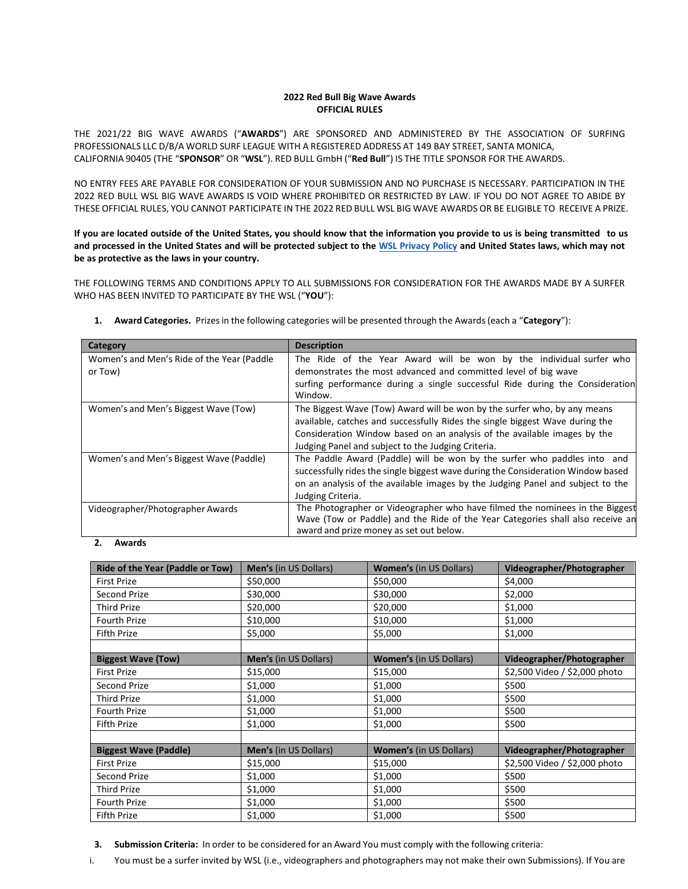## **2022 Red Bull Big Wave Awards OFFICIAL RULES**

THE 2021/22 BIG WAVE AWARDS ("**AWARDS**") ARE SPONSORED AND ADMINISTERED BY THE ASSOCIATION OF SURFING PROFESSIONALS LLC D/B/A WORLD SURF LEAGUE WITH A REGISTERED ADDRESS AT 149 BAY STREET, SANTA MONICA, CALIFORNIA 90405 (THE "**SPONSOR**" OR "**WSL**"). RED BULL GmbH ("**Red Bull**") IS THE TITLE SPONSOR FOR THE AWARDS.

NO ENTRY FEES ARE PAYABLE FOR CONSIDERATION OF YOUR SUBMISSION AND NO PURCHASE IS NECESSARY. PARTICIPATION IN THE 2022 RED BULL WSL BIG WAVE AWARDS IS VOID WHERE PROHIBITED OR RESTRICTED BY LAW. IF YOU DO NOT AGREE TO ABIDE BY THESE OFFICIAL RULES, YOU CANNOT PARTICIPATE IN THE 2022 RED BULL WSL BIG WAVE AWARDS OR BE ELIGIBLE TO RECEIVE A PRIZE.

**If you are located outside of the United States, you should know that the information you provide to us is being transmitted to us and processed in the United States and will be protected subject to the [WSL Privacy Policy an](https://www.worldsurfleague.com/pages/privacy-policy)d United States laws, which may not be as protective as the laws in your country.**

THE FOLLOWING TERMS AND CONDITIONS APPLY TO ALL SUBMISSIONS FOR CONSIDERATION FOR THE AWARDS MADE BY A SURFER WHO HAS BEEN INVITED TO PARTICIPATE BY THE WSL ("**YOU**"):

| Category                                              | <b>Description</b>                                                                                                                                                                                                                                                                         |
|-------------------------------------------------------|--------------------------------------------------------------------------------------------------------------------------------------------------------------------------------------------------------------------------------------------------------------------------------------------|
| Women's and Men's Ride of the Year (Paddle<br>or Tow) | The Ride of the Year Award will be won by the individual surfer who<br>demonstrates the most advanced and committed level of big wave<br>surfing performance during a single successful Ride during the Consideration                                                                      |
|                                                       | Window.                                                                                                                                                                                                                                                                                    |
| Women's and Men's Biggest Wave (Tow)                  | The Biggest Wave (Tow) Award will be won by the surfer who, by any means<br>available, catches and successfully Rides the single biggest Wave during the<br>Consideration Window based on an analysis of the available images by the<br>Judging Panel and subject to the Judging Criteria. |
| Women's and Men's Biggest Wave (Paddle)               | The Paddle Award (Paddle) will be won by the surfer who paddles into and<br>successfully rides the single biggest wave during the Consideration Window based<br>on an analysis of the available images by the Judging Panel and subject to the<br>Judging Criteria.                        |
| Videographer/Photographer Awards                      | The Photographer or Videographer who have filmed the nominees in the Biggest<br>Wave (Tow or Paddle) and the Ride of the Year Categories shall also receive an<br>award and prize money as set out below.                                                                                  |

**1. Award Categories.** Prizesin the following categories will be presented through the Awards(each a "**Category**"):

#### **2. Awards**

| Ride of the Year (Paddle or Tow) | Men's (in US Dollars) | <b>Women's (in US Dollars)</b> | Videographer/Photographer     |
|----------------------------------|-----------------------|--------------------------------|-------------------------------|
| <b>First Prize</b>               | \$50,000              | \$50,000                       | \$4,000                       |
| <b>Second Prize</b>              | \$30,000              | \$30,000                       | \$2,000                       |
| <b>Third Prize</b>               | \$20,000              | \$20,000                       | \$1,000                       |
| <b>Fourth Prize</b>              | \$10,000              | \$10,000                       | \$1,000                       |
| Fifth Prize                      | \$5,000               | \$5,000                        | \$1,000                       |
|                                  |                       |                                |                               |
| <b>Biggest Wave (Tow)</b>        | Men's (in US Dollars) | <b>Women's (in US Dollars)</b> | Videographer/Photographer     |
| <b>First Prize</b>               | \$15,000              | \$15,000                       | \$2,500 Video / \$2,000 photo |
| <b>Second Prize</b>              | \$1,000               | \$1,000                        | \$500                         |
| <b>Third Prize</b>               | \$1,000               | \$1,000                        | \$500                         |
| <b>Fourth Prize</b>              | \$1,000               | \$1,000                        | \$500                         |
| Fifth Prize                      | \$1,000               | \$1,000                        | \$500                         |
|                                  |                       |                                |                               |
| <b>Biggest Wave (Paddle)</b>     | Men's (in US Dollars) | <b>Women's (in US Dollars)</b> | Videographer/Photographer     |
| <b>First Prize</b>               | \$15,000              | \$15,000                       | \$2,500 Video / \$2,000 photo |
| Second Prize                     | \$1,000               | \$1,000                        | \$500                         |
| <b>Third Prize</b>               | \$1,000               | \$1,000                        | \$500                         |
| <b>Fourth Prize</b>              | \$1,000               | \$1,000                        | \$500                         |
| <b>Fifth Prize</b>               | \$1,000               | \$1,000                        | \$500                         |

**3. Submission Criteria:** In order to be considered for an Award You must comply with the following criteria:

i. You must be a surfer invited by WSL (i.e., videographers and photographers may not make their own Submissions). If You are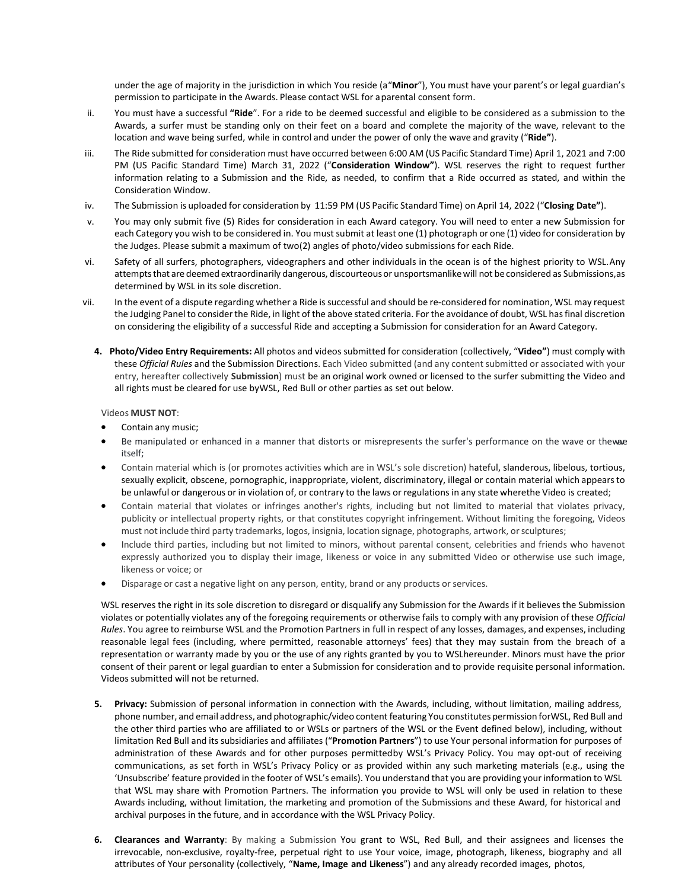under the age of majority in the jurisdiction in which You reside (a "**Minor**"), You must have your parent's or legal guardian's permission to participate in the Awards. Please contact WSL for a parental consent form.

- ii. You must have a successful **"Ride**". For a ride to be deemed successful and eligible to be considered as a submission to the Awards, a surfer must be standing only on their feet on a board and complete the majority of the wave, relevant to the location and wave being surfed, while in control and under the power of only the wave and gravity ("**Ride"**).
- iii. The Ride submitted for consideration must have occurred between 6:00 AM (US Pacific Standard Time) April 1, 2021 and 7:00 PM (US Pacific Standard Time) March 31, 2022 ("**Consideration Window"**). WSL reserves the right to request further information relating to a Submission and the Ride, as needed, to confirm that a Ride occurred as stated, and within the Consideration Window.
- iv. The Submission is uploaded for consideration by 11:59 PM (US Pacific Standard Time) on April 14, 2022 ("**Closing Date"**).
- v. You may only submit five (5) Rides for consideration in each Award category. You will need to enter a new Submission for each Category you wish to be considered in. You must submit at least one (1) photograph or one (1) video for consideration by the Judges. Please submit a maximum of two(2) angles of photo/video submissions for each Ride.
- vi. Safety of all surfers, photographers, videographers and other individuals in the ocean is of the highest priority to WSL. Any attempts that are deemed extraordinarily dangerous, discourteous or unsportsmanlike will not be considered as Submissions, as determined by WSL in its sole discretion.
- vii. In the event of a dispute regarding whether a Ride is successful and should be re-considered for nomination, WSL may request the Judging Panel to consider the Ride, in light of the above stated criteria. For the avoidance of doubt, WSL has final discretion on considering the eligibility of a successful Ride and accepting a Submission for consideration for an Award Category.
	- **4. Photo/Video Entry Requirements:** All photos and videos submitted for consideration (collectively, "**Video"**) must comply with these *Official Rules* and the Submission Directions. Each Video submitted (and any content submitted or associated with your entry, hereafter collectively **Submission**) must be an original work owned or licensed to the surfer submitting the Video and all rights must be cleared for use byWSL, Red Bull or other parties as set out below.

# Videos **MUST NOT**:

- Contain any music;
- Be manipulated or enhanced in a manner that distorts or misrepresents the surfer's performance on the wave or thewae itself;
- Contain material which is (or promotes activities which are in WSL's sole discretion) hateful, slanderous, libelous, tortious, sexually explicit, obscene, pornographic, inappropriate, violent, discriminatory, illegal or contain material which appears to be unlawful or dangerous or in violation of, or contrary to the laws or regulations in any state wherethe Video is created;
- Contain material that violates or infringes another's rights, including but not limited to material that violates privacy, publicity or intellectual property rights, or that constitutes copyright infringement. Without limiting the foregoing, Videos must not include third party trademarks, logos, insignia, location signage, photographs, artwork, orsculptures;
- Include third parties, including but not limited to minors, without parental consent, celebrities and friends who havenot expressly authorized you to display their image, likeness or voice in any submitted Video or otherwise use such image, likeness or voice; or
- Disparage or cast a negative light on any person, entity, brand or any products or services.

WSL reserves the right in its sole discretion to disregard or disqualify any Submission for the Awards if it believes the Submission violates or potentially violates any of the foregoing requirements or otherwise fails to comply with any provision of these *Official Rules*. You agree to reimburse WSL and the Promotion Partners in full in respect of any losses, damages, and expenses, including reasonable legal fees (including, where permitted, reasonable attorneys' fees) that they may sustain from the breach of a representation or warranty made by you or the use of any rights granted by you to WSLhereunder. Minors must have the prior consent of their parent or legal guardian to enter a Submission for consideration and to provide requisite personal information. Videos submitted will not be returned.

- **5. Privacy:** Submission of personal information in connection with the Awards, including, without limitation, mailing address, phone number, and email address, and photographic/video content featuring You constitutes permission forWSL, Red Bull and the other third parties who are affiliated to or WSLs or partners of the WSL or the Event defined below), including, without limitation Red Bull and its subsidiaries and affiliates ("**Promotion Partners**") to use Your personal information for purposes of administration of these Awards and for other purposes permittedby WSL's Privacy Policy. You may opt-out of receiving communications, as set forth in WSL's Privacy Policy or as provided within any such marketing materials (e.g., using the 'Unsubscribe' feature provided in the footer of WSL's emails). You understand that you are providing your information to WSL that WSL may share with Promotion Partners. The information you provide to WSL will only be used in relation to these Awards including, without limitation, the marketing and promotion of the Submissions and these Award, for historical and archival purposes in the future, and in accordance with the WSL Privacy Policy.
- **6. Clearances and Warranty**: By making a Submission You grant to WSL, Red Bull, and their assignees and licenses the irrevocable, non-exclusive, royalty-free, perpetual right to use Your voice, image, photograph, likeness, biography and all attributes of Your personality (collectively, "**Name, Image and Likeness**") and any already recorded images, photos,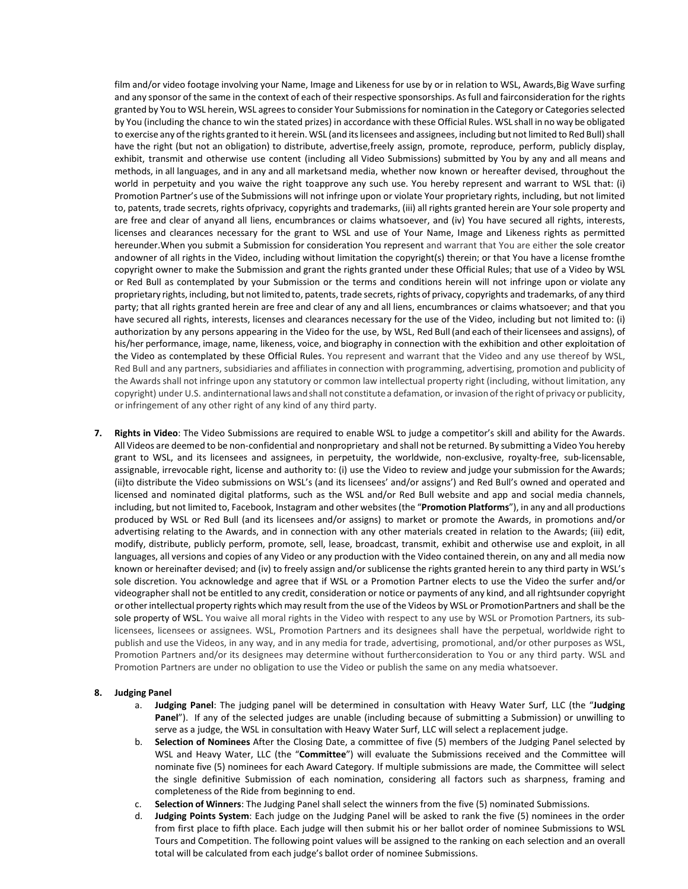film and/or video footage involving your Name, Image and Likeness for use by or in relation to WSL, Awards,Big Wave surfing and any sponsor of the same in the context of each of their respective sponsorships. As full and fairconsideration for the rights granted by You to WSL herein, WSL agrees to consider Your Submissions for nomination in the Category or Categories selected by You (including the chance to win the stated prizes) in accordance with these Official Rules. WSL shall in no way be obligated to exercise any of the rights granted to it herein. WSL (and its licensees and assignees, including but not limited to Red Bull) shall have the right (but not an obligation) to distribute, advertise,freely assign, promote, reproduce, perform, publicly display, exhibit, transmit and otherwise use content (including all Video Submissions) submitted by You by any and all means and methods, in all languages, and in any and all marketsand media, whether now known or hereafter devised, throughout the world in perpetuity and you waive the right toapprove any such use. You hereby represent and warrant to WSL that: (i) Promotion Partner's use of the Submissions will not infringe upon or violate Your proprietary rights, including, but not limited to, patents, trade secrets, rights ofprivacy, copyrights and trademarks, (iii) all rights granted herein are Your sole property and are free and clear of anyand all liens, encumbrances or claims whatsoever, and (iv) You have secured all rights, interests, licenses and clearances necessary for the grant to WSL and use of Your Name, Image and Likeness rights as permitted hereunder.When you submit a Submission for consideration You represent and warrant that You are either the sole creator and owner of all rights in the Video, including without limitation the copyright(s) therein; or that You have a license fromthe copyright owner to make the Submission and grant the rights granted under these Official Rules; that use of a Video by WSL or Red Bull as contemplated by your Submission or the terms and conditions herein will not infringe upon or violate any proprietary rights, including, but not limited to, patents, trade secrets, rights of privacy, copyrights and trademarks, of any third party; that all rights granted herein are free and clear of any and all liens, encumbrances or claims whatsoever; and that you have secured all rights, interests, licenses and clearances necessary for the use of the Video, including but not limited to: (i) authorization by any persons appearing in the Video for the use, by WSL, Red Bull (and each of theirlicensees and assigns), of his/her performance, image, name, likeness, voice, and biography in connection with the exhibition and other exploitation of the Video as contemplated by these Official Rules. You represent and warrant that the Video and any use thereof by WSL, Red Bull and any partners, subsidiaries and affiliates in connection with programming, advertising, promotion and publicity of the Awards shall not infringe upon any statutory or common law intellectual property right (including, without limitation, any copyright) under U.S. andinternational laws andshall not constitute a defamation, orinvasion ofthe right of privacy or publicity, or infringement of any other right of any kind of any third party.

**7. Rights in Video**: The Video Submissions are required to enable WSL to judge a competitor's skill and ability for the Awards. All Videos are deemed to be non-confidential and nonproprietary and shall not be returned. By submitting a Video You hereby grant to WSL, and its licensees and assignees, in perpetuity, the worldwide, non-exclusive, royalty-free, sub-licensable, assignable, irrevocable right, license and authority to: (i) use the Video to review and judge your submission for the Awards; (ii)to distribute the Video submissions on WSL's (and its licensees' and/or assigns') and Red Bull's owned and operated and licensed and nominated digital platforms, such as the WSL and/or Red Bull website and app and social media channels, including, but not limited to, Facebook, Instagram and other websites (the "**Promotion Platforms**"), in any and all productions produced by WSL or Red Bull (and its licensees and/or assigns) to market or promote the Awards, in promotions and/or advertising relating to the Awards, and in connection with any other materials created in relation to the Awards; (iii) edit, modify, distribute, publicly perform, promote, sell, lease, broadcast, transmit, exhibit and otherwise use and exploit, in all languages, all versions and copies of any Video or any production with the Video contained therein, on any and all media now known or hereinafter devised; and (iv) to freely assign and/or sublicense the rights granted herein to any third party in WSL's sole discretion. You acknowledge and agree that if WSL or a Promotion Partner elects to use the Video the surfer and/or videographer shall not be entitled to any credit, consideration or notice or payments of any kind, and all rightsunder copyright or otherintellectual property rights which may result from the use of the Videos by WSL or PromotionPartners and shall be the sole property of WSL. You waive all moral rights in the Video with respect to any use by WSL or Promotion Partners, its sublicensees, licensees or assignees. WSL, Promotion Partners and its designees shall have the perpetual, worldwide right to publish and use the Videos, in any way, and in any media for trade, advertising, promotional, and/or other purposes as WSL, Promotion Partners and/or its designees may determine without furtherconsideration to You or any third party. WSL and Promotion Partners are under no obligation to use the Video or publish the same on any media whatsoever.

#### **8. Judging Panel**

- a. **Judging Panel**: The judging panel will be determined in consultation with Heavy Water Surf, LLC (the "**Judging Panel**"). If any of the selected judges are unable (including because of submitting a Submission) or unwilling to serve as a judge, the WSL in consultation with Heavy Water Surf, LLC will select a replacement judge.
- b. **Selection of Nominees** After the Closing Date, a committee of five (5) members of the Judging Panel selected by WSL and Heavy Water, LLC (the "**Committee**") will evaluate the Submissions received and the Committee will nominate five (5) nominees for each Award Category. If multiple submissions are made, the Committee will select the single definitive Submission of each nomination, considering all factors such as sharpness, framing and completeness of the Ride from beginning to end.
- c. **Selection of Winners**: The Judging Panel shall select the winners from the five (5) nominated Submissions.
- d. **Judging Points System**: Each judge on the Judging Panel will be asked to rank the five (5) nominees in the order from first place to fifth place. Each judge will then submit his or her ballot order of nominee Submissions to WSL Tours and Competition. The following point values will be assigned to the ranking on each selection and an overall total will be calculated from each judge's ballot order of nominee Submissions.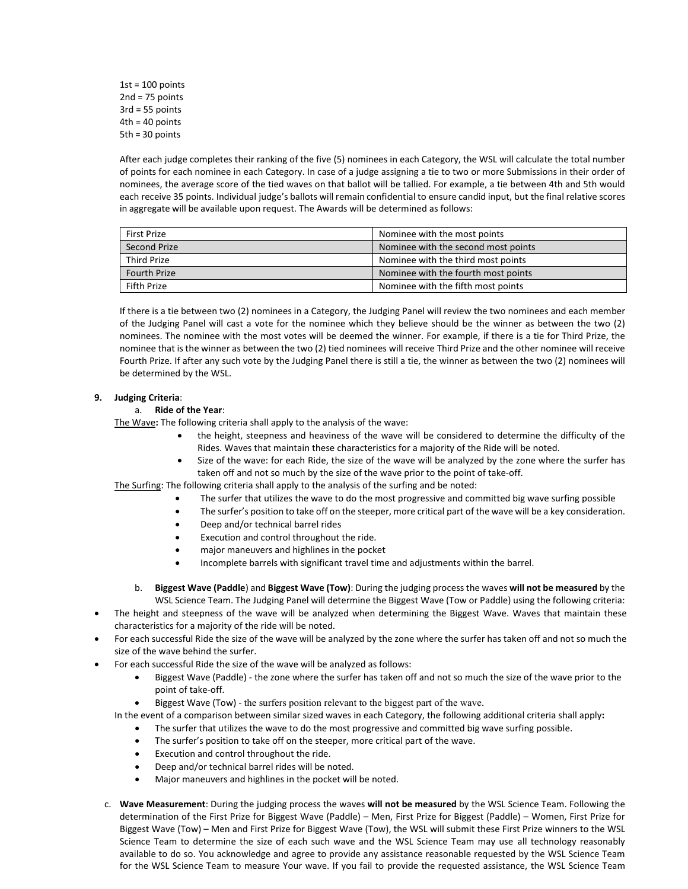$1st = 100$  points  $2nd = 75$  points 3rd = 55 points  $4th = 40$  points 5th = 30 points

After each judge completes their ranking of the five (5) nominees in each Category, the WSL will calculate the total number of points for each nominee in each Category. In case of a judge assigning a tie to two or more Submissions in their order of nominees, the average score of the tied waves on that ballot will be tallied. For example, a tie between 4th and 5th would each receive 35 points. Individual judge's ballots will remain confidential to ensure candid input, but the final relative scores in aggregate will be available upon request. The Awards will be determined as follows:

| <b>First Prize</b>  | Nominee with the most points        |
|---------------------|-------------------------------------|
| <b>Second Prize</b> | Nominee with the second most points |
| <b>Third Prize</b>  | Nominee with the third most points  |
| <b>Fourth Prize</b> | Nominee with the fourth most points |
| Fifth Prize         | Nominee with the fifth most points  |

If there is a tie between two (2) nominees in a Category, the Judging Panel will review the two nominees and each member of the Judging Panel will cast a vote for the nominee which they believe should be the winner as between the two (2) nominees. The nominee with the most votes will be deemed the winner. For example, if there is a tie for Third Prize, the nominee that is the winner as between the two (2) tied nominees will receive Third Prize and the other nominee will receive Fourth Prize. If after any such vote by the Judging Panel there is still a tie, the winner as between the two (2) nominees will be determined by the WSL.

## **9. Judging Criteria**:

## a. **Ride of the Year**:

The Wave**:** The following criteria shall apply to the analysis of the wave:

- the height, steepness and heaviness of the wave will be considered to determine the difficulty of the Rides. Waves that maintain these characteristics for a majority of the Ride will be noted.
- Size of the wave: for each Ride, the size of the wave will be analyzed by the zone where the surfer has taken off and not so much by the size of the wave prior to the point of take-off.

The Surfing: The following criteria shall apply to the analysis of the surfing and be noted:

- The surfer that utilizes the wave to do the most progressive and committed big wave surfing possible
- The surfer's position to take off on the steeper, more critical part of the wave will be a key consideration.
- Deep and/or technical barrel rides
- Execution and control throughout the ride.
- major maneuvers and highlines in the pocket
- Incomplete barrels with significant travel time and adjustments within the barrel.
- b. **Biggest Wave (Paddle**) and **Biggest Wave (Tow)**: During the judging process the waves **will not be measured** by the WSL Science Team. The Judging Panel will determine the Biggest Wave (Tow or Paddle) using the following criteria:
- The height and steepness of the wave will be analyzed when determining the Biggest Wave. Waves that maintain these characteristics for a majority of the ride will be noted.
- For each successful Ride the size of the wave will be analyzed by the zone where the surfer has taken off and not so much the size of the wave behind the surfer.
- For each successful Ride the size of the wave will be analyzed as follows:
	- Biggest Wave (Paddle) the zone where the surfer has taken off and not so much the size of the wave prior to the point of take-off.
	- Biggest Wave (Tow) the surfers position relevant to the biggest part of the wave.
	- In the event of a comparison between similar sized waves in each Category, the following additional criteria shall apply**:**
		- The surfer that utilizes the wave to do the most progressive and committed big wave surfing possible.
		- The surfer's position to take off on the steeper, more critical part of the wave.
		- Execution and control throughout the ride.
		- Deep and/or technical barrel rides will be noted.
		- Major maneuvers and highlines in the pocket will be noted.
	- c. **Wave Measurement**: During the judging process the waves **will not be measured** by the WSL Science Team. Following the determination of the First Prize for Biggest Wave (Paddle) – Men, First Prize for Biggest (Paddle) – Women, First Prize for Biggest Wave (Tow) – Men and First Prize for Biggest Wave (Tow), the WSL will submit these First Prize winners to the WSL Science Team to determine the size of each such wave and the WSL Science Team may use all technology reasonably available to do so. You acknowledge and agree to provide any assistance reasonable requested by the WSL Science Team for the WSL Science Team to measure Your wave. If you fail to provide the requested assistance, the WSL Science Team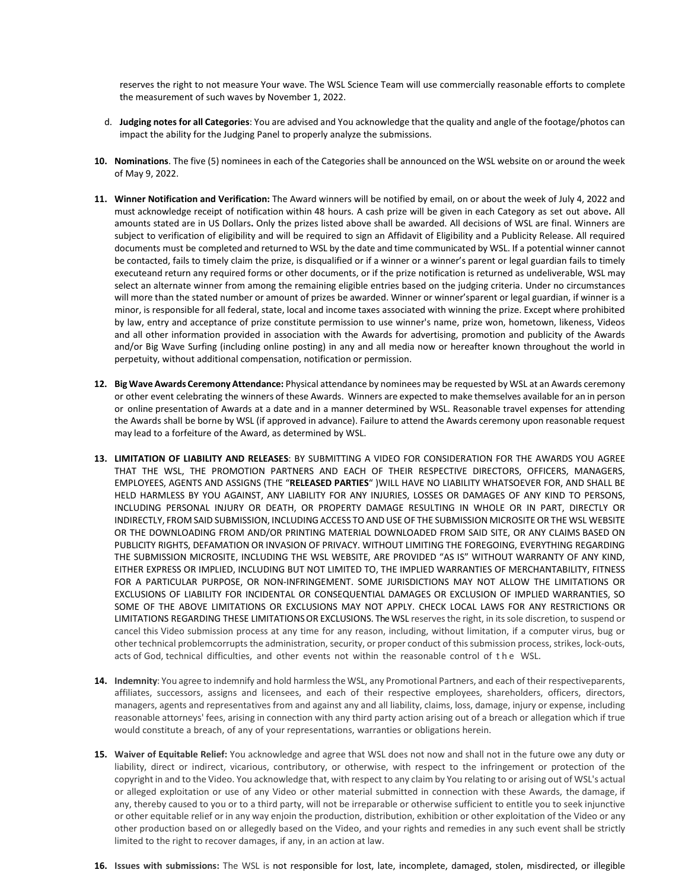reserves the right to not measure Your wave. The WSL Science Team will use commercially reasonable efforts to complete the measurement of such waves by November 1, 2022.

- d. **Judging notes for all Categories**: You are advised and You acknowledge that the quality and angle of the footage/photos can impact the ability for the Judging Panel to properly analyze the submissions.
- **10. Nominations**. The five (5) nominees in each of the Categories shall be announced on the WSL website on or around the week of May 9, 2022.
- **11. Winner Notification and Verification:** The Award winners will be notified by email, on or about the week of July 4, 2022 and must acknowledge receipt of notification within 48 hours. A cash prize will be given in each Category as set out above**.** All amounts stated are in US Dollars**.** Only the prizes listed above shall be awarded. All decisions of WSL are final. Winners are subject to verification of eligibility and will be required to sign an Affidavit of Eligibility and a Publicity Release. All required documents must be completed and returned to WSL by the date and time communicated by WSL. If a potential winner cannot be contacted, fails to timely claim the prize, is disqualified or if a winner or a winner's parent or legal guardian fails to timely executeand return any required forms or other documents, or if the prize notification is returned as undeliverable, WSL may select an alternate winner from among the remaining eligible entries based on the judging criteria. Under no circumstances will more than the stated number or amount of prizes be awarded. Winner or winner'sparent or legal guardian, if winner is a minor, is responsible for all federal, state, local and income taxes associated with winning the prize. Except where prohibited by law, entry and acceptance of prize constitute permission to use winner's name, prize won, hometown, likeness, Videos and all other information provided in association with the Awards for advertising, promotion and publicity of the Awards and/or Big Wave Surfing (including online posting) in any and all media now or hereafter known throughout the world in perpetuity, without additional compensation, notification or permission.
- **12. Big WaveAwards Ceremony Attendance:** Physical attendance by nominees may be requested by WSL at an Awards ceremony or other event celebrating the winners of these Awards. Winners are expected to make themselves available for an in person or online presentation of Awards at a date and in a manner determined by WSL. Reasonable travel expenses for attending the Awards shall be borne by WSL (if approved in advance). Failure to attend the Awards ceremony upon reasonable request may lead to a forfeiture of the Award, as determined by WSL.
- **13. LIMITATION OF LIABILITY AND RELEASES**: BY SUBMITTING A VIDEO FOR CONSIDERATION FOR THE AWARDS YOU AGREE THAT THE WSL, THE PROMOTION PARTNERS AND EACH OF THEIR RESPECTIVE DIRECTORS, OFFICERS, MANAGERS, EMPLOYEES, AGENTS AND ASSIGNS (THE "**RELEASED PARTIES**" )WILL HAVE NO LIABILITY WHATSOEVER FOR, AND SHALL BE HELD HARMLESS BY YOU AGAINST, ANY LIABILITY FOR ANY INJURIES, LOSSES OR DAMAGES OF ANY KIND TO PERSONS, INCLUDING PERSONAL INJURY OR DEATH, OR PROPERTY DAMAGE RESULTING IN WHOLE OR IN PART, DIRECTLY OR INDIRECTLY, FROM SAID SUBMISSION, INCLUDINGACCESS TO ANDUSE OF THE SUBMISSION MICROSITE OR THE WSL WEBSITE OR THE DOWNLOADING FROM AND/OR PRINTING MATERIAL DOWNLOADED FROM SAID SITE, OR ANY CLAIMS BASED ON PUBLICITY RIGHTS, DEFAMATION OR INVASION OF PRIVACY. WITHOUT LIMITING THE FOREGOING, EVERYTHING REGARDING THE SUBMISSION MICROSITE, INCLUDING THE WSL WEBSITE, ARE PROVIDED "AS IS" WITHOUT WARRANTY OF ANY KIND, EITHER EXPRESS OR IMPLIED, INCLUDING BUT NOT LIMITED TO, THE IMPLIED WARRANTIES OF MERCHANTABILITY, FITNESS FOR A PARTICULAR PURPOSE, OR NON-INFRINGEMENT. SOME JURISDICTIONS MAY NOT ALLOW THE LIMITATIONS OR EXCLUSIONS OF LIABILITY FOR INCIDENTAL OR CONSEQUENTIAL DAMAGES OR EXCLUSION OF IMPLIED WARRANTIES, SO SOME OF THE ABOVE LIMITATIONS OR EXCLUSIONS MAY NOT APPLY. CHECK LOCAL LAWS FOR ANY RESTRICTIONS OR LIMITATIONS REGARDING THESE LIMITATIONSOR EXCLUSIONS. The WSL reservesthe right, in itssole discretion, to suspend or cancel this Video submission process at any time for any reason, including, without limitation, if a computer virus, bug or other technical problemcorrupts the administration, security, or proper conduct of this submission process, strikes, lock-outs, acts of God, technical difficulties, and other events not within the reasonable control of the WSL.
- **14. Indemnity**: You agree to indemnify and hold harmlessthe WSL, any Promotional Partners, and each of their respectiveparents, affiliates, successors, assigns and licensees, and each of their respective employees, shareholders, officers, directors, managers, agents and representatives from and against any and all liability, claims, loss, damage, injury or expense, including reasonable attorneys' fees, arising in connection with any third party action arising out of a breach or allegation which if true would constitute a breach, of any of your representations, warranties or obligations herein.
- **15. Waiver of Equitable Relief:** You acknowledge and agree that WSL does not now and shall not in the future owe any duty or liability, direct or indirect, vicarious, contributory, or otherwise, with respect to the infringement or protection of the copyright in and to the Video. You acknowledge that, with respect to any claim by You relating to or arising out of WSL's actual or alleged exploitation or use of any Video or other material submitted in connection with these Awards, the damage, if any, thereby caused to you or to a third party, will not be irreparable or otherwise sufficient to entitle you to seek injunctive or other equitable relief or in any way enjoin the production, distribution, exhibition or other exploitation of the Video or any other production based on or allegedly based on the Video, and your rights and remedies in any such event shall be strictly limited to the right to recover damages, if any, in an action at law.
- **16. Issues with submissions:** The WSL is not responsible for lost, late, incomplete, damaged, stolen, misdirected, or illegible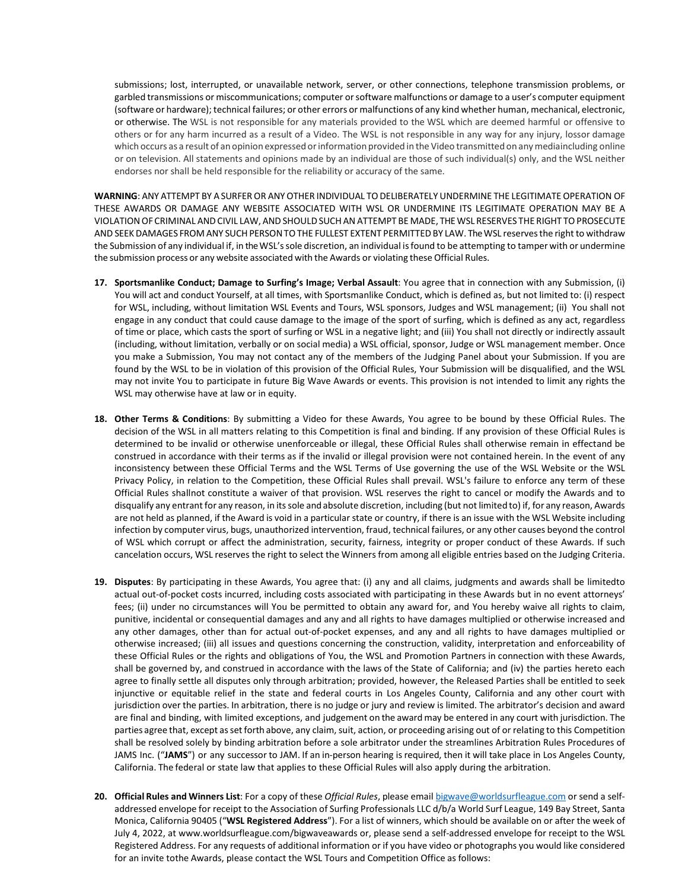submissions; lost, interrupted, or unavailable network, server, or other connections, telephone transmission problems, or garbled transmissions or miscommunications; computer or software malfunctions or damage to a user's computer equipment (software or hardware); technical failures; or other errors or malfunctions of any kind whether human, mechanical, electronic, or otherwise. The WSL is not responsible for any materials provided to the WSL which are deemed harmful or offensive to others or for any harm incurred as a result of a Video. The WSL is not responsible in any way for any injury, lossor damage which occurs as a result of an opinion expressed or information provided in the Video transmitted on any mediaincluding online or on television. All statements and opinions made by an individual are those of such individual(s) only, and the WSL neither endorses nor shall be held responsible for the reliability or accuracy of the same.

WARNING: ANY ATTEMPT BY A SURFER OR ANY OTHER INDIVIDUAL TO DELIBERATELY UNDERMINE THE LEGITIMATE OPERATION OF THESE AWARDS OR DAMAGE ANY WEBSITE ASSOCIATED WITH WSL OR UNDERMINE ITS LEGITIMATE OPERATION MAY BE A VIOLATIONOF CRIMINAL ANDCIVIL LAW, AND SHOULDSUCH ANATTEMPT BE MADE, THE WSL RESERVES THE RIGHT TOPROSECUTE AND SEEK DAMAGES FROM ANY SUCH PERSON TO THE FULLEST EXTENT PERMITTED BY LAW. The WSL reserves the right to withdraw the Submission of any individual if, in the WSL'ssole discretion, an individual isfound to be attempting to tamper with or undermine the submission process or any website associated with the Awards or violating these Official Rules.

- **17. Sportsmanlike Conduct; Damage to Surfing's Image; Verbal Assault**: You agree that in connection with any Submission, (i) You will act and conduct Yourself, at all times, with Sportsmanlike Conduct, which is defined as, but not limited to: (i) respect for WSL, including, without limitation WSL Events and Tours, WSL sponsors, Judges and WSL management; (ii) You shall not engage in any conduct that could cause damage to the image of the sport of surfing, which is defined as any act, regardless of time or place, which casts the sport of surfing or WSL in a negative light; and (iii) You shall not directly or indirectly assault (including, without limitation, verbally or on social media) a WSL official, sponsor, Judge or WSL management member. Once you make a Submission, You may not contact any of the members of the Judging Panel about your Submission. If you are found by the WSL to be in violation of this provision of the Official Rules, Your Submission will be disqualified, and the WSL may not invite You to participate in future Big Wave Awards or events. This provision is not intended to limit any rights the WSL may otherwise have at law or in equity.
- **18. Other Terms & Conditions**: By submitting a Video for these Awards, You agree to be bound by these Official Rules. The decision of the WSL in all matters relating to this Competition is final and binding. If any provision of these Official Rules is determined to be invalid or otherwise unenforceable or illegal, these Official Rules shall otherwise remain in effectand be construed in accordance with their terms as if the invalid or illegal provision were not contained herein. In the event of any inconsistency between these Official Terms and the WSL Terms of Use governing the use of the WSL Website or the WSL Privacy Policy, in relation to the Competition, these Official Rules shall prevail. WSL's failure to enforce any term of these Official Rules shallnot constitute a waiver of that provision. WSL reserves the right to cancel or modify the Awards and to disqualify any entrant for any reason, in itssole and absolute discretion, including (but not limited to) if, for any reason, Awards are not held as planned, if the Award is void in a particular state or country, if there is an issue with the WSL Website including infection by computer virus, bugs, unauthorized intervention, fraud, technical failures, or any other causes beyond the control of WSL which corrupt or affect the administration, security, fairness, integrity or proper conduct of these Awards. If such cancelation occurs, WSL reserves the right to select the Winners from among all eligible entries based on the Judging Criteria.
- **19. Disputes**: By participating in these Awards, You agree that: (i) any and all claims, judgments and awards shall be limitedto actual out-of-pocket costs incurred, including costs associated with participating in these Awards but in no event attorneys' fees; (ii) under no circumstances will You be permitted to obtain any award for, and You hereby waive all rights to claim, punitive, incidental or consequential damages and any and all rights to have damages multiplied or otherwise increased and any other damages, other than for actual out-of-pocket expenses, and any and all rights to have damages multiplied or otherwise increased; (iii) all issues and questions concerning the construction, validity, interpretation and enforceability of these Official Rules or the rights and obligations of You, the WSL and Promotion Partners in connection with these Awards, shall be governed by, and construed in accordance with the laws of the State of California; and (iv) the parties hereto each agree to finally settle all disputes only through arbitration; provided, however, the Released Parties shall be entitled to seek injunctive or equitable relief in the state and federal courts in Los Angeles County, California and any other court with jurisdiction over the parties. In arbitration, there is no judge or jury and review is limited. The arbitrator's decision and award are final and binding, with limited exceptions, and judgement on the award may be entered in any court with jurisdiction. The parties agree that, except assetforth above, any claim, suit, action, or proceeding arising out of or relating to this Competition shall be resolved solely by binding arbitration before a sole arbitrator under the streamlines Arbitration Rules Procedures of JAMS Inc. ("**JAMS**") or any successor to JAM. If an in-person hearing isrequired, then it will take place in Los Angeles County, California. The federal or state law that applies to these Official Rules will also apply during the arbitration.
- **20. Official Rules and Winners List**: For a copy of these *Official Rules*, please email [bigwave@worldsurfleague.com](mailto:bigwave@worldsurfleague.com) or send a selfaddressed envelope for receipt to the Association of Surfing Professionals LLC d/b/a World Surf League, 149 Bay Street, Santa Monica, California 90405 ("**WSL Registered Address**"). For a list of winners, which should be available on or after the week of July 4, 2022, at [www.worldsurfleague.com/bigwaveawards o](http://www.worldsurfleague.com/bigwaveawards)r, please send a self-addressed envelope for receipt to the WSL Registered Address. For any requests of additional information or if you have video or photographs you would like considered for an invite tothe Awards, please contact the WSL Tours and Competition Office as follows: